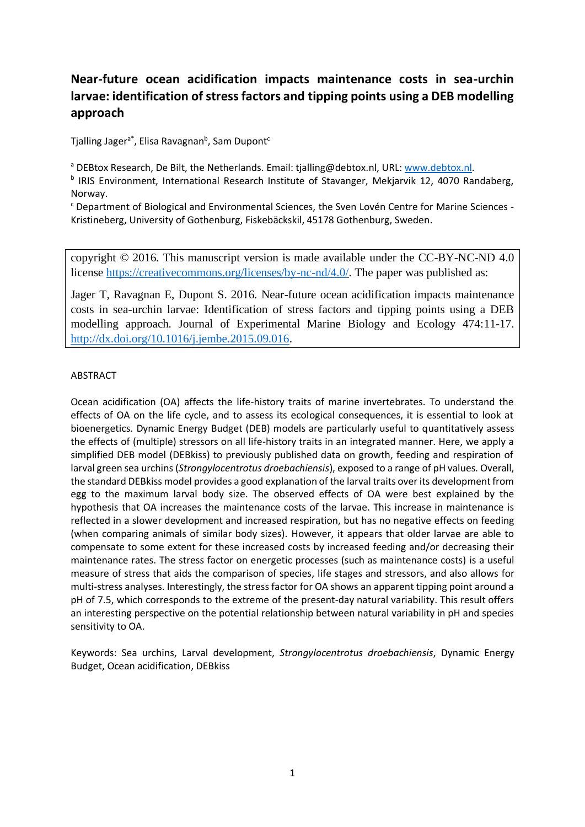# **Near-future ocean acidification impacts maintenance costs in sea-urchin larvae: identification of stress factors and tipping points using a DEB modelling approach**

Tjalling Jager<sup>a\*</sup>, Elisa Ravagnan<sup>b</sup>, Sam Dupont<sup>c</sup>

<sup>a</sup> DEBtox Research, De Bilt, the Netherlands. Email: tialling@debtox.nl, URL[: www.debtox.nl.](http://www.debtox.nl/)

**b IRIS Environment, International Research Institute of Stavanger, Mekjarvik 12, 4070 Randaberg,** Norway.

<sup>c</sup> Department of Biological and Environmental Sciences, the Sven Lovén Centre for Marine Sciences - Kristineberg, University of Gothenburg, Fiskebäckskil, 45178 Gothenburg, Sweden.

copyright © 2016. This manuscript version is made available under the CC-BY-NC-ND 4.0 license [https://creativecommons.org/licenses/by-nc-nd/4.0/.](https://creativecommons.org/licenses/by-nc-nd/4.0/) The paper was published as:

Jager T, Ravagnan E, Dupont S. 2016. Near-future ocean acidification impacts maintenance costs in sea-urchin larvae: Identification of stress factors and tipping points using a DEB modelling approach. Journal of Experimental Marine Biology and Ecology 474:11-17. [http://dx.doi.org/10.1016/j.jembe.2015.09.016.](http://dx.doi.org/10.1016/j.jembe.2015.09.016)

## ABSTRACT

Ocean acidification (OA) affects the life-history traits of marine invertebrates. To understand the effects of OA on the life cycle, and to assess its ecological consequences, it is essential to look at bioenergetics. Dynamic Energy Budget (DEB) models are particularly useful to quantitatively assess the effects of (multiple) stressors on all life-history traits in an integrated manner. Here, we apply a simplified DEB model (DEBkiss) to previously published data on growth, feeding and respiration of larval green sea urchins (*Strongylocentrotus droebachiensis*), exposed to a range of pH values. Overall, the standard DEBkiss model provides a good explanation of the larval traits over its development from egg to the maximum larval body size. The observed effects of OA were best explained by the hypothesis that OA increases the maintenance costs of the larvae. This increase in maintenance is reflected in a slower development and increased respiration, but has no negative effects on feeding (when comparing animals of similar body sizes). However, it appears that older larvae are able to compensate to some extent for these increased costs by increased feeding and/or decreasing their maintenance rates. The stress factor on energetic processes (such as maintenance costs) is a useful measure of stress that aids the comparison of species, life stages and stressors, and also allows for multi-stress analyses. Interestingly, the stress factor for OA shows an apparent tipping point around a pH of 7.5, which corresponds to the extreme of the present-day natural variability. This result offers an interesting perspective on the potential relationship between natural variability in pH and species sensitivity to OA.

Keywords: Sea urchins, Larval development, *Strongylocentrotus droebachiensis*, Dynamic Energy Budget, Ocean acidification, DEBkiss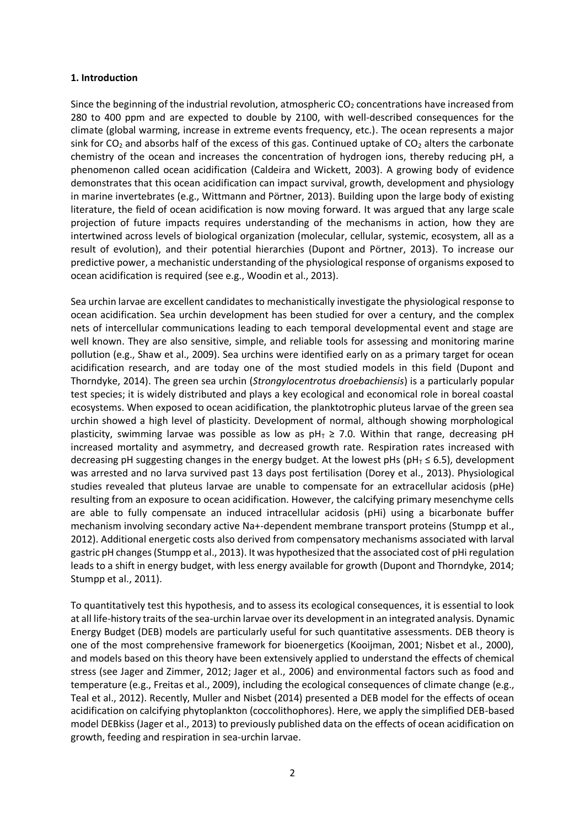### **1. Introduction**

Since the beginning of the industrial revolution, atmospheric  $CO<sub>2</sub>$  concentrations have increased from 280 to 400 ppm and are expected to double by 2100, with well-described consequences for the climate (global warming, increase in extreme events frequency, etc.). The ocean represents a major sink for  $CO<sub>2</sub>$  and absorbs half of the excess of this gas. Continued uptake of  $CO<sub>2</sub>$  alters the carbonate chemistry of the ocean and increases the concentration of hydrogen ions, thereby reducing pH, a phenomenon called ocean acidification (Caldeira and Wickett, 2003). A growing body of evidence demonstrates that this ocean acidification can impact survival, growth, development and physiology in marine invertebrates (e.g., Wittmann and Pörtner, 2013). Building upon the large body of existing literature, the field of ocean acidification is now moving forward. It was argued that any large scale projection of future impacts requires understanding of the mechanisms in action, how they are intertwined across levels of biological organization (molecular, cellular, systemic, ecosystem, all as a result of evolution), and their potential hierarchies (Dupont and Pörtner, 2013). To increase our predictive power, a mechanistic understanding of the physiological response of organisms exposed to ocean acidification is required (see e.g., Woodin et al., 2013).

Sea urchin larvae are excellent candidates to mechanistically investigate the physiological response to ocean acidification. Sea urchin development has been studied for over a century, and the complex nets of intercellular communications leading to each temporal developmental event and stage are well known. They are also sensitive, simple, and reliable tools for assessing and monitoring marine pollution (e.g., Shaw et al., 2009). Sea urchins were identified early on as a primary target for ocean acidification research, and are today one of the most studied models in this field (Dupont and Thorndyke, 2014). The green sea urchin (*Strongylocentrotus droebachiensis*) is a particularly popular test species; it is widely distributed and plays a key ecological and economical role in boreal coastal ecosystems. When exposed to ocean acidification, the planktotrophic pluteus larvae of the green sea urchin showed a high level of plasticity. Development of normal, although showing morphological plasticity, swimming larvae was possible as low as  $pH<sub>T</sub> \ge 7.0$ . Within that range, decreasing pH increased mortality and asymmetry, and decreased growth rate. Respiration rates increased with decreasing pH suggesting changes in the energy budget. At the lowest pHs ( $pH<sub>T</sub> \le 6.5$ ), development was arrested and no larva survived past 13 days post fertilisation (Dorey et al., 2013). Physiological studies revealed that pluteus larvae are unable to compensate for an extracellular acidosis (pHe) resulting from an exposure to ocean acidification. However, the calcifying primary mesenchyme cells are able to fully compensate an induced intracellular acidosis (pHi) using a bicarbonate buffer mechanism involving secondary active Na+-dependent membrane transport proteins (Stumpp et al., 2012). Additional energetic costs also derived from compensatory mechanisms associated with larval gastric pH changes (Stumpp et al., 2013). It was hypothesized that the associated cost of pHi regulation leads to a shift in energy budget, with less energy available for growth (Dupont and Thorndyke, 2014; Stumpp et al., 2011).

To quantitatively test this hypothesis, and to assess its ecological consequences, it is essential to look at all life-history traits of the sea-urchin larvae over its development in an integrated analysis. Dynamic Energy Budget (DEB) models are particularly useful for such quantitative assessments. DEB theory is one of the most comprehensive framework for bioenergetics (Kooijman, 2001; Nisbet et al., 2000), and models based on this theory have been extensively applied to understand the effects of chemical stress (see Jager and Zimmer, 2012; Jager et al., 2006) and environmental factors such as food and temperature (e.g., Freitas et al., 2009), including the ecological consequences of climate change (e.g., Teal et al., 2012). Recently, Muller and Nisbet (2014) presented a DEB model for the effects of ocean acidification on calcifying phytoplankton (coccolithophores). Here, we apply the simplified DEB-based model DEBkiss (Jager et al., 2013) to previously published data on the effects of ocean acidification on growth, feeding and respiration in sea-urchin larvae.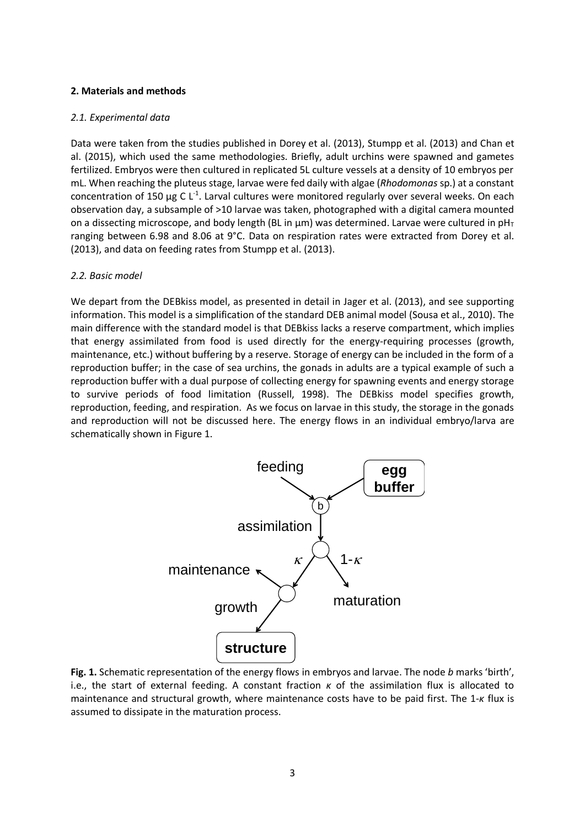## **2. Materials and methods**

## *2.1. Experimental data*

Data were taken from the studies published in Dorey et al. (2013), Stumpp et al. (2013) and Chan et al. (2015), which used the same methodologies. Briefly, adult urchins were spawned and gametes fertilized. Embryos were then cultured in replicated 5L culture vessels at a density of 10 embryos per mL. When reaching the pluteus stage, larvae were fed daily with algae (*Rhodomonas* sp.) at a constant concentration of 150  $\mu$ g C L<sup>-1</sup>. Larval cultures were monitored regularly over several weeks. On each observation day, a subsample of >10 larvae was taken, photographed with a digital camera mounted on a dissecting microscope, and body length (BL in  $\mu$ m) was determined. Larvae were cultured in pH<sub>T</sub> ranging between 6.98 and 8.06 at 9°C. Data on respiration rates were extracted from Dorey et al. (2013), and data on feeding rates from Stumpp et al. (2013).

## *2.2. Basic model*

We depart from the DEBkiss model, as presented in detail in Jager et al. (2013), and see supporting information. This model is a simplification of the standard DEB animal model (Sousa et al., 2010). The main difference with the standard model is that DEBkiss lacks a reserve compartment, which implies that energy assimilated from food is used directly for the energy-requiring processes (growth, maintenance, etc.) without buffering by a reserve. Storage of energy can be included in the form of a reproduction buffer; in the case of sea urchins, the gonads in adults are a typical example of such a reproduction buffer with a dual purpose of collecting energy for spawning events and energy storage to survive periods of food limitation (Russell, 1998). The DEBkiss model specifies growth, reproduction, feeding, and respiration. As we focus on larvae in this study, the storage in the gonads and reproduction will not be discussed here. The energy flows in an individual embryo/larva are schematically shown in Figure 1.



**Fig. 1.** Schematic representation of the energy flows in embryos and larvae. The node *b* marks 'birth', i.e., the start of external feeding. A constant fraction *κ* of the assimilation flux is allocated to maintenance and structural growth, where maintenance costs have to be paid first. The 1-*κ* flux is assumed to dissipate in the maturation process.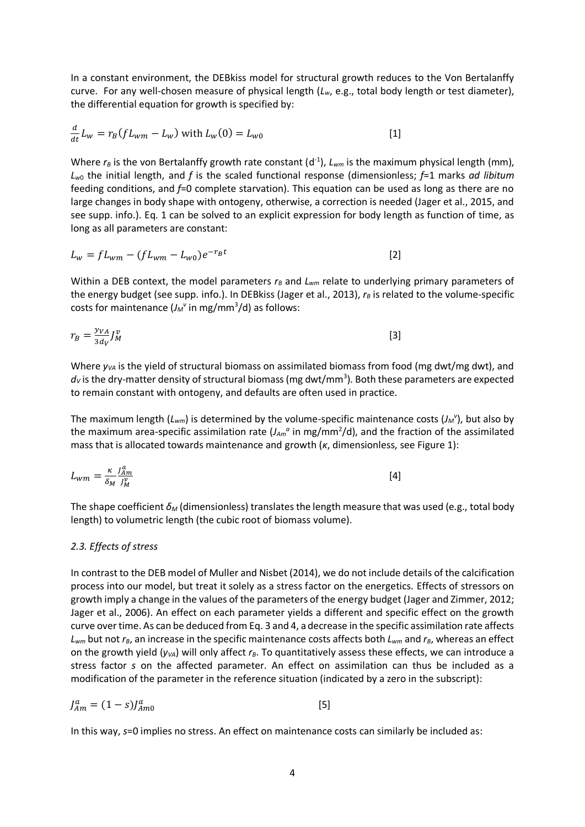In a constant environment, the DEBkiss model for structural growth reduces to the Von Bertalanffy curve. For any well-chosen measure of physical length (*Lw*, e.g., total body length or test diameter), the differential equation for growth is specified by:

$$
\frac{d}{dt}L_w = r_B(fL_{wm} - L_w) \text{ with } L_w(0) = L_{w0}
$$
 [1]

Where  $r_B$  is the von Bertalanffy growth rate constant (d<sup>-1</sup>),  $L_{wm}$  is the maximum physical length (mm), *Lw*<sup>0</sup> the initial length, and *f* is the scaled functional response (dimensionless; *f*=1 marks *ad libitum* feeding conditions, and *f*=0 complete starvation). This equation can be used as long as there are no large changes in body shape with ontogeny, otherwise, a correction is needed (Jager et al., 2015, and see supp. info.). Eq. 1 can be solved to an explicit expression for body length as function of time, as long as all parameters are constant:

$$
L_w = f L_{wm} - (f L_{wm} - L_{w0})e^{-r_B t}
$$
\n(2)

Within a DEB context, the model parameters  $r_B$  and  $L_{wm}$  relate to underlying primary parameters of the energy budget (see supp. info.). In DEBkiss (Jager et al., 2013), *r<sup>B</sup>* is related to the volume-specific costs for maintenance  $(J_M^{\vee}$  in mg/mm<sup>3</sup>/d) as follows:

$$
r_B = \frac{y_{VA}}{3d_V} J_M^{\nu} \tag{3}
$$

Where  $y_{\text{VA}}$  is the yield of structural biomass on assimilated biomass from food (mg dwt/mg dwt), and  $d_V$  is the dry-matter density of structural biomass (mg dwt/mm<sup>3</sup>). Both these parameters are expected to remain constant with ontogeny, and defaults are often used in practice.

The maximum length (*Lwm*) is determined by the volume-specific maintenance costs (*J<sup>M</sup> v* ), but also by the maximum area-specific assimilation rate (*J<sub>Am</sub><sup>a</sup>* in mg/mm<sup>2</sup>/d), and the fraction of the assimilated mass that is allocated towards maintenance and growth (*κ*, dimensionless, see Figure 1):

$$
L_{wm} = \frac{\kappa}{\delta_M} \frac{J_{Am}^a}{J_M^y} \tag{4}
$$

The shape coefficient *δ<sup>M</sup>* (dimensionless) translates the length measure that was used (e.g., total body length) to volumetric length (the cubic root of biomass volume).

#### *2.3. Effects of stress*

In contrast to the DEB model of Muller and Nisbet (2014), we do not include details of the calcification process into our model, but treat it solely as a stress factor on the energetics. Effects of stressors on growth imply a change in the values of the parameters of the energy budget (Jager and Zimmer, 2012; Jager et al., 2006). An effect on each parameter yields a different and specific effect on the growth curve over time. As can be deduced from Eq. 3 and 4, a decrease in the specific assimilation rate affects  $L_{wm}$  but not  $r_B$ , an increase in the specific maintenance costs affects both  $L_{wm}$  and  $r_B$ , whereas an effect on the growth yield  $(y_{VA})$  will only affect  $r_B$ . To quantitatively assess these effects, we can introduce a stress factor *s* on the affected parameter. An effect on assimilation can thus be included as a modification of the parameter in the reference situation (indicated by a zero in the subscript):

$$
J_{Am}^a = (1 - s)J_{Am0}^a \tag{5}
$$

In this way, *s*=0 implies no stress. An effect on maintenance costs can similarly be included as: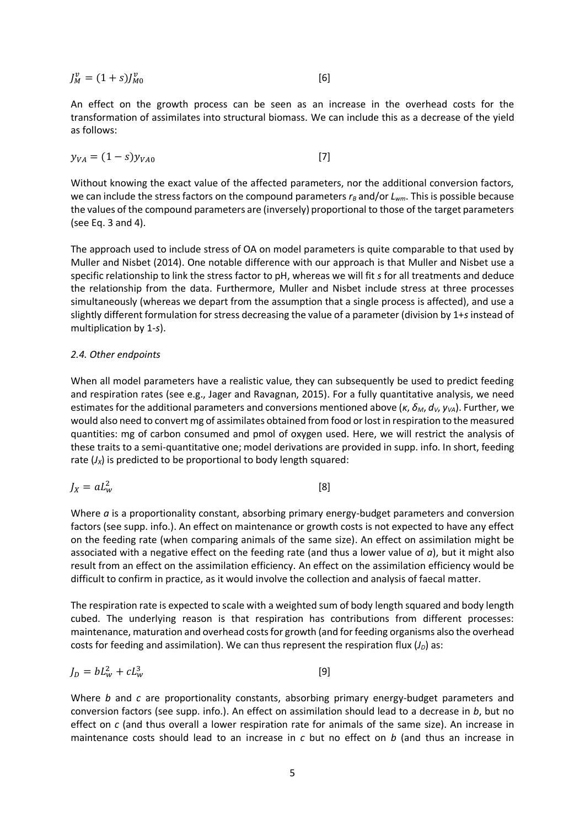$J_M^v = (1 + s)J_{M0}^v$ [6]

An effect on the growth process can be seen as an increase in the overhead costs for the transformation of assimilates into structural biomass. We can include this as a decrease of the yield as follows:

$$
y_{VA} = (1 - s)y_{VA0}
$$
 [7]

Without knowing the exact value of the affected parameters, nor the additional conversion factors, we can include the stress factors on the compound parameters *r<sup>B</sup>* and/or *Lwm*. This is possible because the values of the compound parameters are (inversely) proportional to those of the target parameters (see Eq. 3 and 4).

The approach used to include stress of OA on model parameters is quite comparable to that used by Muller and Nisbet (2014). One notable difference with our approach is that Muller and Nisbet use a specific relationship to link the stress factor to pH, whereas we will fit *s* for all treatments and deduce the relationship from the data. Furthermore, Muller and Nisbet include stress at three processes simultaneously (whereas we depart from the assumption that a single process is affected), and use a slightly different formulation for stress decreasing the value of a parameter (division by 1+*s* instead of multiplication by 1-*s*).

### *2.4. Other endpoints*

When all model parameters have a realistic value, they can subsequently be used to predict feeding and respiration rates (see e.g., Jager and Ravagnan, 2015). For a fully quantitative analysis, we need estimates for the additional parameters and conversions mentioned above (*κ*, *δM*, *dV*, *yVA*). Further, we would also need to convert mg of assimilates obtained from food or lost in respiration to the measured quantities: mg of carbon consumed and pmol of oxygen used. Here, we will restrict the analysis of these traits to a semi-quantitative one; model derivations are provided in supp. info. In short, feeding rate  $(J_X)$  is predicted to be proportional to body length squared:

$$
J_X = aL_W^2 \tag{8}
$$

Where *a* is a proportionality constant, absorbing primary energy-budget parameters and conversion factors (see supp. info.). An effect on maintenance or growth costs is not expected to have any effect on the feeding rate (when comparing animals of the same size). An effect on assimilation might be associated with a negative effect on the feeding rate (and thus a lower value of *a*), but it might also result from an effect on the assimilation efficiency. An effect on the assimilation efficiency would be difficult to confirm in practice, as it would involve the collection and analysis of faecal matter.

The respiration rate is expected to scale with a weighted sum of body length squared and body length cubed. The underlying reason is that respiration has contributions from different processes: maintenance, maturation and overhead costs for growth (and for feeding organisms also the overhead costs for feeding and assimilation). We can thus represent the respiration flux (*JD*) as:

$$
J_D = bL_W^2 + cL_W^3 \tag{9}
$$

Where *b* and *c* are proportionality constants, absorbing primary energy-budget parameters and conversion factors (see supp. info.). An effect on assimilation should lead to a decrease in *b*, but no effect on *c* (and thus overall a lower respiration rate for animals of the same size). An increase in maintenance costs should lead to an increase in *c* but no effect on *b* (and thus an increase in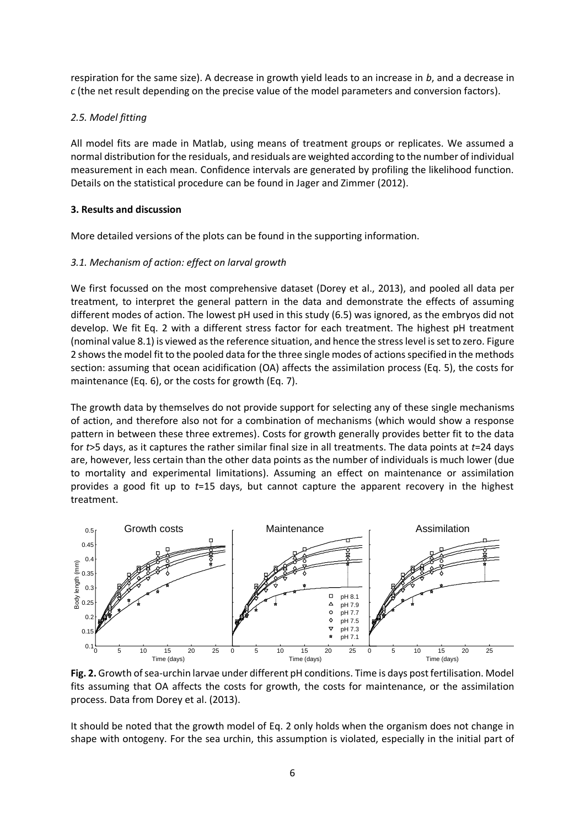respiration for the same size). A decrease in growth yield leads to an increase in *b*, and a decrease in *c* (the net result depending on the precise value of the model parameters and conversion factors).

## *2.5. Model fitting*

All model fits are made in Matlab, using means of treatment groups or replicates. We assumed a normal distribution for the residuals, and residuals are weighted according to the number of individual measurement in each mean. Confidence intervals are generated by profiling the likelihood function. Details on the statistical procedure can be found in Jager and Zimmer (2012).

## **3. Results and discussion**

More detailed versions of the plots can be found in the supporting information.

# *3.1. Mechanism of action: effect on larval growth*

We first focussed on the most comprehensive dataset (Dorey et al., 2013), and pooled all data per treatment, to interpret the general pattern in the data and demonstrate the effects of assuming different modes of action. The lowest pH used in this study (6.5) was ignored, as the embryos did not develop. We fit Eq. 2 with a different stress factor for each treatment. The highest pH treatment (nominal value 8.1) is viewed as the reference situation, and hence the stress level is set to zero. Figure 2 showsthe model fit to the pooled data for the three single modes of actions specified in the methods section: assuming that ocean acidification (OA) affects the assimilation process (Eq. 5), the costs for maintenance (Eq. 6), or the costs for growth (Eq. 7).

The growth data by themselves do not provide support for selecting any of these single mechanisms of action, and therefore also not for a combination of mechanisms (which would show a response pattern in between these three extremes). Costs for growth generally provides better fit to the data for *t*>5 days, as it captures the rather similar final size in all treatments. The data points at *t*=24 days are, however, less certain than the other data points as the number of individuals is much lower (due to mortality and experimental limitations). Assuming an effect on maintenance or assimilation provides a good fit up to *t*=15 days, but cannot capture the apparent recovery in the highest treatment.



**Fig. 2.** Growth of sea-urchin larvae under different pH conditions. Time is days post fertilisation. Model fits assuming that OA affects the costs for growth, the costs for maintenance, or the assimilation process. Data from Dorey et al. (2013).

It should be noted that the growth model of Eq. 2 only holds when the organism does not change in shape with ontogeny. For the sea urchin, this assumption is violated, especially in the initial part of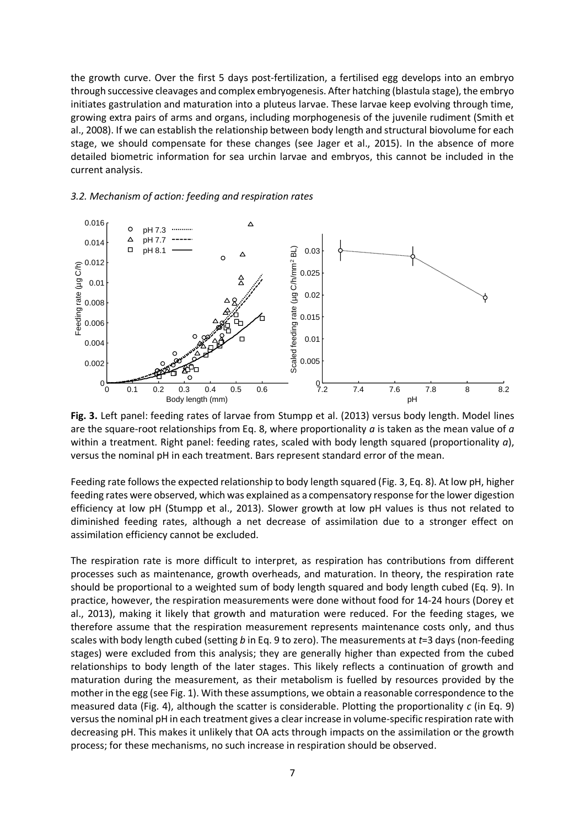the growth curve. Over the first 5 days post-fertilization, a fertilised egg develops into an embryo through successive cleavages and complex embryogenesis. After hatching (blastula stage), the embryo initiates gastrulation and maturation into a pluteus larvae. These larvae keep evolving through time, growing extra pairs of arms and organs, including morphogenesis of the juvenile rudiment (Smith et al., 2008). If we can establish the relationship between body length and structural biovolume for each stage, we should compensate for these changes (see Jager et al., 2015). In the absence of more detailed biometric information for sea urchin larvae and embryos, this cannot be included in the current analysis.

#### *3.2. Mechanism of action: feeding and respiration rates*



**Fig. 3.** Left panel: feeding rates of larvae from Stumpp et al. (2013) versus body length. Model lines are the square-root relationships from Eq. 8, where proportionality *a* is taken as the mean value of *a* within a treatment. Right panel: feeding rates, scaled with body length squared (proportionality *a*), versus the nominal pH in each treatment. Bars represent standard error of the mean.

Feeding rate follows the expected relationship to body length squared (Fig. 3, Eq. 8). At low pH, higher feeding rates were observed, which was explained as a compensatory response for the lower digestion efficiency at low pH (Stumpp et al., 2013). Slower growth at low pH values is thus not related to diminished feeding rates, although a net decrease of assimilation due to a stronger effect on assimilation efficiency cannot be excluded.

The respiration rate is more difficult to interpret, as respiration has contributions from different processes such as maintenance, growth overheads, and maturation. In theory, the respiration rate should be proportional to a weighted sum of body length squared and body length cubed (Eq. 9). In practice, however, the respiration measurements were done without food for 14-24 hours (Dorey et al., 2013), making it likely that growth and maturation were reduced. For the feeding stages, we therefore assume that the respiration measurement represents maintenance costs only, and thus scales with body length cubed (setting *b* in Eq. 9 to zero). The measurements at *t*=3 days (non-feeding stages) were excluded from this analysis; they are generally higher than expected from the cubed relationships to body length of the later stages. This likely reflects a continuation of growth and maturation during the measurement, as their metabolism is fuelled by resources provided by the mother in the egg (see Fig. 1). With these assumptions, we obtain a reasonable correspondence to the measured data (Fig. 4), although the scatter is considerable. Plotting the proportionality *c* (in Eq. 9) versus the nominal pH in each treatment gives a clear increase in volume-specific respiration rate with decreasing pH. This makes it unlikely that OA acts through impacts on the assimilation or the growth process; for these mechanisms, no such increase in respiration should be observed.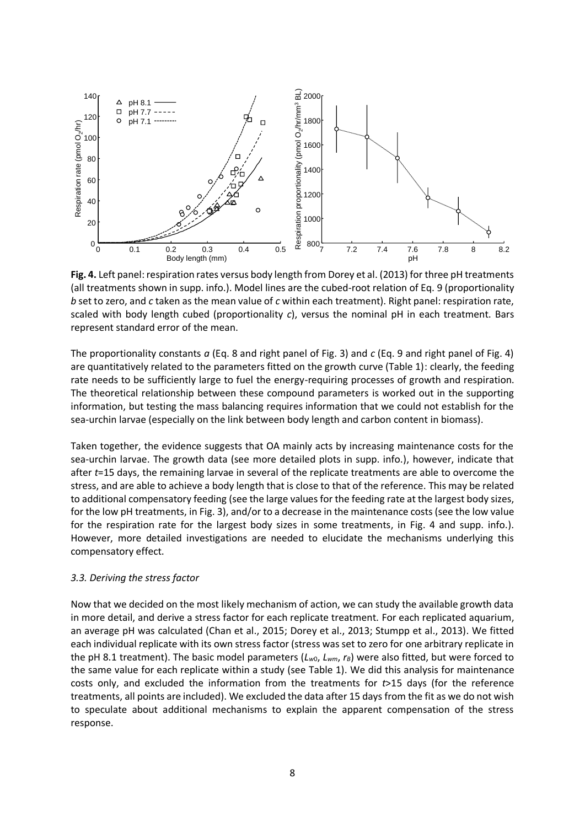

**Fig. 4.** Left panel: respiration rates versus body length from Dorey et al. (2013) for three pH treatments (all treatments shown in supp. info.). Model lines are the cubed-root relation of Eq. 9 (proportionality *b* set to zero, and *c* taken as the mean value of *c* within each treatment). Right panel: respiration rate, scaled with body length cubed (proportionality *c*), versus the nominal pH in each treatment. Bars represent standard error of the mean.

The proportionality constants *a* (Eq. 8 and right panel of Fig. 3) and *c* (Eq. 9 and right panel of Fig. 4) are quantitatively related to the parameters fitted on the growth curve (Table 1): clearly, the feeding rate needs to be sufficiently large to fuel the energy-requiring processes of growth and respiration. The theoretical relationship between these compound parameters is worked out in the supporting information, but testing the mass balancing requires information that we could not establish for the sea-urchin larvae (especially on the link between body length and carbon content in biomass).

Taken together, the evidence suggests that OA mainly acts by increasing maintenance costs for the sea-urchin larvae. The growth data (see more detailed plots in supp. info.), however, indicate that after *t*=15 days, the remaining larvae in several of the replicate treatments are able to overcome the stress, and are able to achieve a body length that is close to that of the reference. This may be related to additional compensatory feeding (see the large values for the feeding rate at the largest body sizes, for the low pH treatments, in Fig. 3), and/or to a decrease in the maintenance costs (see the low value for the respiration rate for the largest body sizes in some treatments, in Fig. 4 and supp. info.). However, more detailed investigations are needed to elucidate the mechanisms underlying this compensatory effect.

#### *3.3. Deriving the stress factor*

Now that we decided on the most likely mechanism of action, we can study the available growth data in more detail, and derive a stress factor for each replicate treatment. For each replicated aquarium, an average pH was calculated (Chan et al., 2015; Dorey et al., 2013; Stumpp et al., 2013). We fitted each individual replicate with its own stress factor (stress was set to zero for one arbitrary replicate in the pH 8.1 treatment). The basic model parameters (*Lw*0, *Lwm*, *rB*) were also fitted, but were forced to the same value for each replicate within a study (see Table 1). We did this analysis for maintenance costs only, and excluded the information from the treatments for *t*>15 days (for the reference treatments, all points are included). We excluded the data after 15 days from the fit as we do not wish to speculate about additional mechanisms to explain the apparent compensation of the stress response.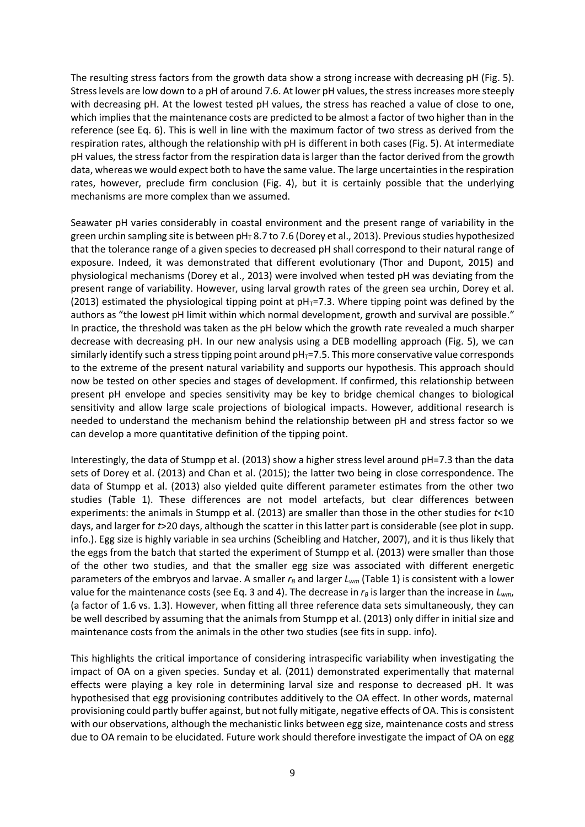The resulting stress factors from the growth data show a strong increase with decreasing pH (Fig. 5). Stress levels are low down to a pH of around 7.6. At lower pH values, the stress increases more steeply with decreasing pH. At the lowest tested pH values, the stress has reached a value of close to one, which implies that the maintenance costs are predicted to be almost a factor of two higher than in the reference (see Eq. 6). This is well in line with the maximum factor of two stress as derived from the respiration rates, although the relationship with pH is different in both cases (Fig. 5). At intermediate pH values, the stress factor from the respiration data is larger than the factor derived from the growth data, whereas we would expect both to have the same value. The large uncertainties in the respiration rates, however, preclude firm conclusion (Fig. 4), but it is certainly possible that the underlying mechanisms are more complex than we assumed.

Seawater pH varies considerably in coastal environment and the present range of variability in the green urchin sampling site is between  $pH<sub>T</sub> 8.7$  to 7.6 (Dorey et al., 2013). Previous studies hypothesized that the tolerance range of a given species to decreased pH shall correspond to their natural range of exposure. Indeed, it was demonstrated that different evolutionary (Thor and Dupont, 2015) and physiological mechanisms (Dorey et al., 2013) were involved when tested pH was deviating from the present range of variability. However, using larval growth rates of the green sea urchin, Dorey et al. (2013) estimated the physiological tipping point at  $pH_T=7.3$ . Where tipping point was defined by the authors as "the lowest pH limit within which normal development, growth and survival are possible." In practice, the threshold was taken as the pH below which the growth rate revealed a much sharper decrease with decreasing pH. In our new analysis using a DEB modelling approach (Fig. 5), we can similarly identify such a stress tipping point around  $pH_T=7.5$ . This more conservative value corresponds to the extreme of the present natural variability and supports our hypothesis. This approach should now be tested on other species and stages of development. If confirmed, this relationship between present pH envelope and species sensitivity may be key to bridge chemical changes to biological sensitivity and allow large scale projections of biological impacts. However, additional research is needed to understand the mechanism behind the relationship between pH and stress factor so we can develop a more quantitative definition of the tipping point.

Interestingly, the data of Stumpp et al. (2013) show a higher stress level around pH=7.3 than the data sets of Dorey et al. (2013) and Chan et al. (2015); the latter two being in close correspondence. The data of Stumpp et al. (2013) also yielded quite different parameter estimates from the other two studies (Table 1). These differences are not model artefacts, but clear differences between experiments: the animals in Stumpp et al. (2013) are smaller than those in the other studies for *t*<10 days, and larger for *t*>20 days, although the scatter in this latter part is considerable (see plot in supp. info.). Egg size is highly variable in sea urchins (Scheibling and Hatcher, 2007), and it is thus likely that the eggs from the batch that started the experiment of Stumpp et al. (2013) were smaller than those of the other two studies, and that the smaller egg size was associated with different energetic parameters of the embryos and larvae. A smaller *r<sup>B</sup>* and larger *Lwm* (Table 1) is consistent with a lower value for the maintenance costs (see Eq. 3 and 4). The decrease in *r<sup>B</sup>* is larger than the increase in *Lwm*, (a factor of 1.6 vs. 1.3). However, when fitting all three reference data sets simultaneously, they can be well described by assuming that the animals from Stumpp et al. (2013) only differ in initial size and maintenance costs from the animals in the other two studies (see fits in supp. info).

This highlights the critical importance of considering intraspecific variability when investigating the impact of OA on a given species. Sunday et al. (2011) demonstrated experimentally that maternal effects were playing a key role in determining larval size and response to decreased pH. It was hypothesised that egg provisioning contributes additively to the OA effect. In other words, maternal provisioning could partly buffer against, but not fully mitigate, negative effects of OA. This is consistent with our observations, although the mechanistic links between egg size, maintenance costs and stress due to OA remain to be elucidated. Future work should therefore investigate the impact of OA on egg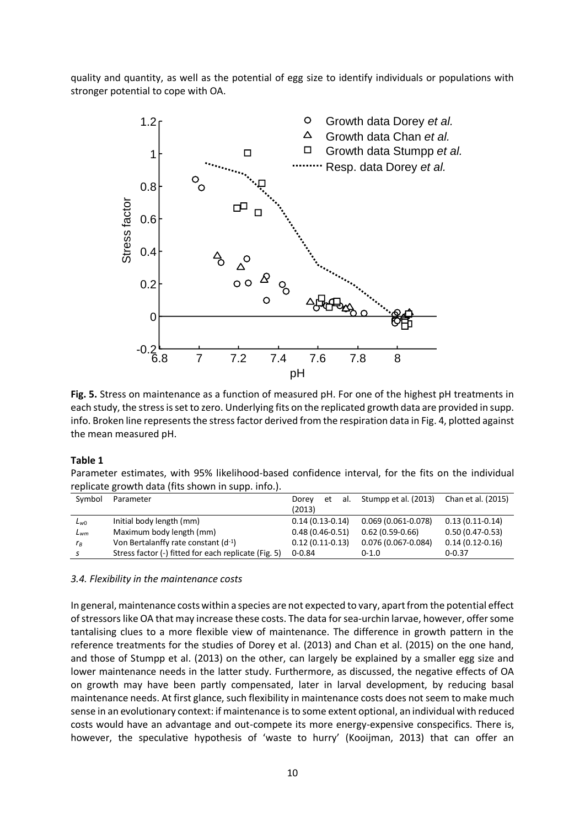quality and quantity, as well as the potential of egg size to identify individuals or populations with stronger potential to cope with OA.



**Fig. 5.** Stress on maintenance as a function of measured pH. For one of the highest pH treatments in each study, the stress is set to zero. Underlying fits on the replicated growth data are provided in supp. info. Broken line represents the stress factor derived from the respiration data in Fig. 4, plotted against the mean measured pH.

### **Table 1**

Parameter estimates, with 95% likelihood-based confidence interval, for the fits on the individual replicate growth data (fits shown in supp. info.).

| Symbol         | Parameter                                            | -al.<br>et<br>Dorey | Stumpp et al. (2013) | Chan et al. (2015) |
|----------------|------------------------------------------------------|---------------------|----------------------|--------------------|
|                |                                                      | (2013)              |                      |                    |
| $L_{W0}$       | Initial body length (mm)                             | $0.14(0.13-0.14)$   | $0.069(0.061-0.078)$ | $0.13(0.11-0.14)$  |
| Lwm            | Maximum body length (mm)                             | $0.48(0.46-0.51)$   | $0.62(0.59-0.66)$    | $0.50(0.47-0.53)$  |
| r <sub>R</sub> | Von Bertalanffy rate constant (d-1)                  | $0.12(0.11-0.13)$   | 0.076 (0.067-0.084)  | $0.14(0.12-0.16)$  |
|                | Stress factor (-) fitted for each replicate (Fig. 5) | $0 - 0.84$          | $0 - 1.0$            | $0 - 0.37$         |

#### *3.4. Flexibility in the maintenance costs*

In general, maintenance costs within a species are not expected to vary, apart from the potential effect of stressors like OA that may increase these costs. The data for sea-urchin larvae, however, offer some tantalising clues to a more flexible view of maintenance. The difference in growth pattern in the reference treatments for the studies of Dorey et al. (2013) and Chan et al. (2015) on the one hand, and those of Stumpp et al. (2013) on the other, can largely be explained by a smaller egg size and lower maintenance needs in the latter study. Furthermore, as discussed, the negative effects of OA on growth may have been partly compensated, later in larval development, by reducing basal maintenance needs. At first glance, such flexibility in maintenance costs does not seem to make much sense in an evolutionary context: if maintenance is to some extent optional, an individual with reduced costs would have an advantage and out-compete its more energy-expensive conspecifics. There is, however, the speculative hypothesis of 'waste to hurry' (Kooijman, 2013) that can offer an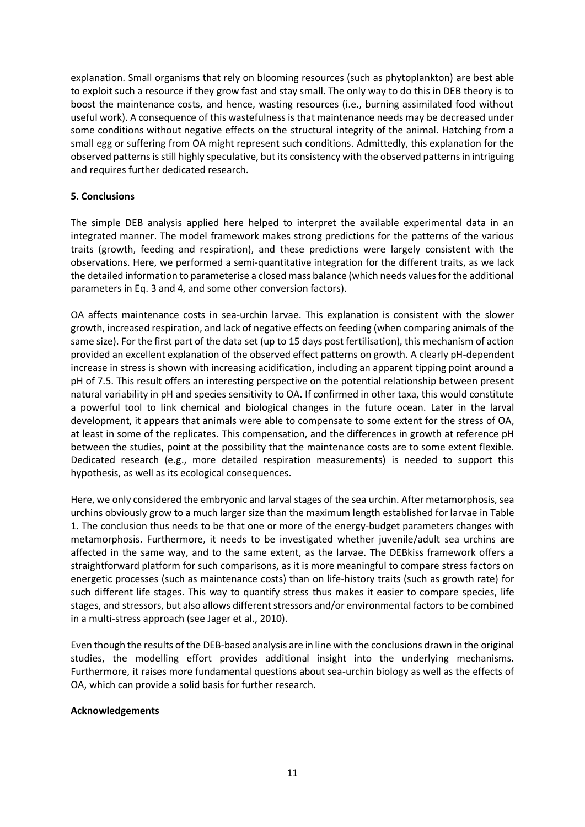explanation. Small organisms that rely on blooming resources (such as phytoplankton) are best able to exploit such a resource if they grow fast and stay small. The only way to do this in DEB theory is to boost the maintenance costs, and hence, wasting resources (i.e., burning assimilated food without useful work). A consequence of this wastefulness is that maintenance needs may be decreased under some conditions without negative effects on the structural integrity of the animal. Hatching from a small egg or suffering from OA might represent such conditions. Admittedly, this explanation for the observed patterns is still highly speculative, but its consistency with the observed patterns in intriguing and requires further dedicated research.

# **5. Conclusions**

The simple DEB analysis applied here helped to interpret the available experimental data in an integrated manner. The model framework makes strong predictions for the patterns of the various traits (growth, feeding and respiration), and these predictions were largely consistent with the observations. Here, we performed a semi-quantitative integration for the different traits, as we lack the detailed information to parameterise a closed mass balance (which needs values for the additional parameters in Eq. 3 and 4, and some other conversion factors).

OA affects maintenance costs in sea-urchin larvae. This explanation is consistent with the slower growth, increased respiration, and lack of negative effects on feeding (when comparing animals of the same size). For the first part of the data set (up to 15 days post fertilisation), this mechanism of action provided an excellent explanation of the observed effect patterns on growth. A clearly pH-dependent increase in stress is shown with increasing acidification, including an apparent tipping point around a pH of 7.5. This result offers an interesting perspective on the potential relationship between present natural variability in pH and species sensitivity to OA. If confirmed in other taxa, this would constitute a powerful tool to link chemical and biological changes in the future ocean. Later in the larval development, it appears that animals were able to compensate to some extent for the stress of OA, at least in some of the replicates. This compensation, and the differences in growth at reference pH between the studies, point at the possibility that the maintenance costs are to some extent flexible. Dedicated research (e.g., more detailed respiration measurements) is needed to support this hypothesis, as well as its ecological consequences.

Here, we only considered the embryonic and larval stages of the sea urchin. After metamorphosis, sea urchins obviously grow to a much larger size than the maximum length established for larvae in Table 1. The conclusion thus needs to be that one or more of the energy-budget parameters changes with metamorphosis. Furthermore, it needs to be investigated whether juvenile/adult sea urchins are affected in the same way, and to the same extent, as the larvae. The DEBkiss framework offers a straightforward platform for such comparisons, as it is more meaningful to compare stress factors on energetic processes (such as maintenance costs) than on life-history traits (such as growth rate) for such different life stages. This way to quantify stress thus makes it easier to compare species, life stages, and stressors, but also allows different stressors and/or environmental factors to be combined in a multi-stress approach (see Jager et al., 2010).

Even though the results of the DEB-based analysis are in line with the conclusions drawn in the original studies, the modelling effort provides additional insight into the underlying mechanisms. Furthermore, it raises more fundamental questions about sea-urchin biology as well as the effects of OA, which can provide a solid basis for further research.

### **Acknowledgements**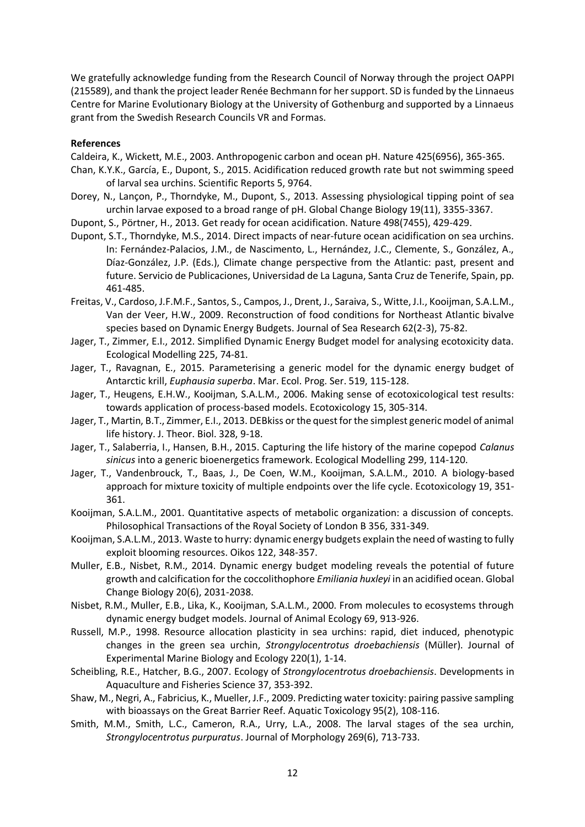We gratefully acknowledge funding from the Research Council of Norway through the project OAPPI (215589), and thank the project leader Renée Bechmann for her support. SD is funded by the Linnaeus Centre for Marine Evolutionary Biology at the University of Gothenburg and supported by a Linnaeus grant from the Swedish Research Councils VR and Formas.

#### **References**

Caldeira, K., Wickett, M.E., 2003. Anthropogenic carbon and ocean pH. Nature 425(6956), 365-365.

- Chan, K.Y.K., García, E., Dupont, S., 2015. Acidification reduced growth rate but not swimming speed of larval sea urchins. Scientific Reports 5, 9764.
- Dorey, N., Lançon, P., Thorndyke, M., Dupont, S., 2013. Assessing physiological tipping point of sea urchin larvae exposed to a broad range of pH. Global Change Biology 19(11), 3355-3367.
- Dupont, S., Pörtner, H., 2013. Get ready for ocean acidification. Nature 498(7455), 429-429.
- Dupont, S.T., Thorndyke, M.S., 2014. Direct impacts of near-future ocean acidification on sea urchins. In: Fernández-Palacios, J.M., de Nascimento, L., Hernández, J.C., Clemente, S., González, A., Díaz-González, J.P. (Eds.), Climate change perspective from the Atlantic: past, present and future. Servicio de Publicaciones, Universidad de La Laguna, Santa Cruz de Tenerife, Spain, pp. 461-485.
- Freitas, V., Cardoso, J.F.M.F., Santos, S., Campos, J., Drent, J., Saraiva, S., Witte, J.I., Kooijman, S.A.L.M., Van der Veer, H.W., 2009. Reconstruction of food conditions for Northeast Atlantic bivalve species based on Dynamic Energy Budgets. Journal of Sea Research 62(2-3), 75-82.
- Jager, T., Zimmer, E.I., 2012. Simplified Dynamic Energy Budget model for analysing ecotoxicity data. Ecological Modelling 225, 74-81.
- Jager, T., Ravagnan, E., 2015. Parameterising a generic model for the dynamic energy budget of Antarctic krill, *Euphausia superba*. Mar. Ecol. Prog. Ser. 519, 115-128.
- Jager, T., Heugens, E.H.W., Kooijman, S.A.L.M., 2006. Making sense of ecotoxicological test results: towards application of process-based models. Ecotoxicology 15, 305-314.
- Jager, T., Martin, B.T., Zimmer, E.I., 2013. DEBkiss or the quest for the simplest generic model of animal life history. J. Theor. Biol. 328, 9-18.
- Jager, T., Salaberria, I., Hansen, B.H., 2015. Capturing the life history of the marine copepod *Calanus sinicus* into a generic bioenergetics framework. Ecological Modelling 299, 114-120.
- Jager, T., Vandenbrouck, T., Baas, J., De Coen, W.M., Kooijman, S.A.L.M., 2010. A biology-based approach for mixture toxicity of multiple endpoints over the life cycle. Ecotoxicology 19, 351- 361.
- Kooijman, S.A.L.M., 2001. Quantitative aspects of metabolic organization: a discussion of concepts. Philosophical Transactions of the Royal Society of London B 356, 331-349.
- Kooijman, S.A.L.M., 2013. Waste to hurry: dynamic energy budgets explain the need of wasting to fully exploit blooming resources. Oikos 122, 348-357.
- Muller, E.B., Nisbet, R.M., 2014. Dynamic energy budget modeling reveals the potential of future growth and calcification for the coccolithophore *Emiliania huxleyi* in an acidified ocean. Global Change Biology 20(6), 2031-2038.
- Nisbet, R.M., Muller, E.B., Lika, K., Kooijman, S.A.L.M., 2000. From molecules to ecosystems through dynamic energy budget models. Journal of Animal Ecology 69, 913-926.
- Russell, M.P., 1998. Resource allocation plasticity in sea urchins: rapid, diet induced, phenotypic changes in the green sea urchin, *Strongylocentrotus droebachiensis* (Müller). Journal of Experimental Marine Biology and Ecology 220(1), 1-14.
- Scheibling, R.E., Hatcher, B.G., 2007. Ecology of *Strongylocentrotus droebachiensis*. Developments in Aquaculture and Fisheries Science 37, 353-392.
- Shaw, M., Negri, A., Fabricius, K., Mueller, J.F., 2009. Predicting water toxicity: pairing passive sampling with bioassays on the Great Barrier Reef. Aquatic Toxicology 95(2), 108-116.
- Smith, M.M., Smith, L.C., Cameron, R.A., Urry, L.A., 2008. The larval stages of the sea urchin, *Strongylocentrotus purpuratus*. Journal of Morphology 269(6), 713-733.